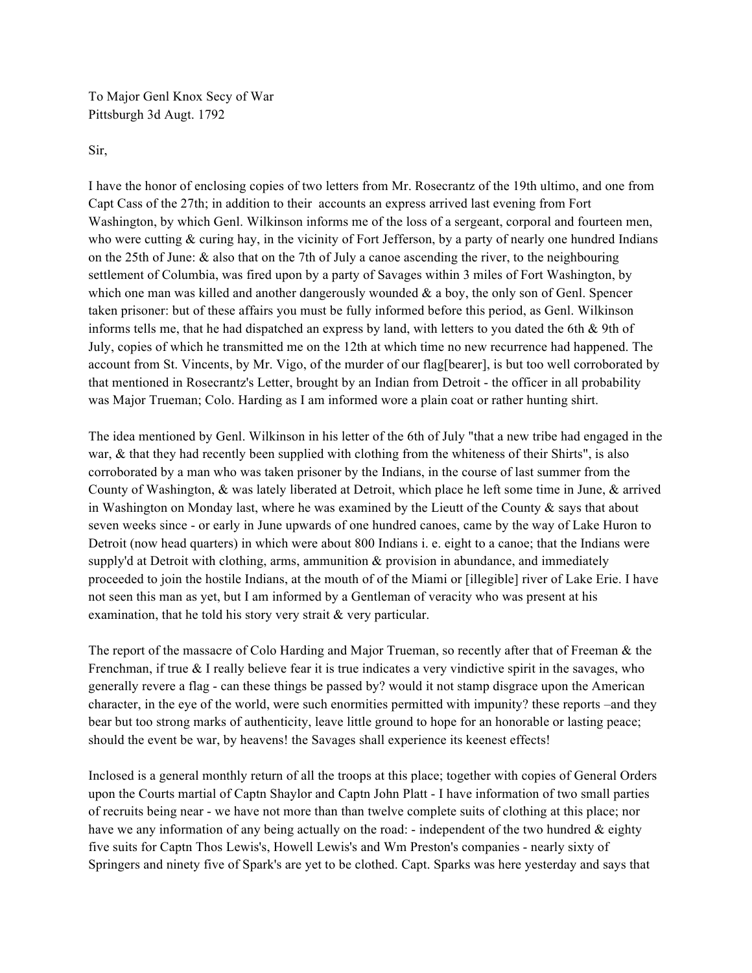To Major Genl Knox Secy of War Pittsburgh 3d Augt. 1792

Sir,

I have the honor of enclosing copies of two letters from Mr. Rosecrantz of the 19th ultimo, and one from Capt Cass of the 27th; in addition to their accounts an express arrived last evening from Fort Washington, by which Genl. Wilkinson informs me of the loss of a sergeant, corporal and fourteen men, who were cutting  $&$  curing hay, in the vicinity of Fort Jefferson, by a party of nearly one hundred Indians on the 25th of June: & also that on the 7th of July a canoe ascending the river, to the neighbouring settlement of Columbia, was fired upon by a party of Savages within 3 miles of Fort Washington, by which one man was killed and another dangerously wounded  $\&$  a boy, the only son of Genl. Spencer taken prisoner: but of these affairs you must be fully informed before this period, as Genl. Wilkinson informs tells me, that he had dispatched an express by land, with letters to you dated the 6th & 9th of July, copies of which he transmitted me on the 12th at which time no new recurrence had happened. The account from St. Vincents, by Mr. Vigo, of the murder of our flag[bearer], is but too well corroborated by that mentioned in Rosecrantz's Letter, brought by an Indian from Detroit - the officer in all probability was Major Trueman; Colo. Harding as I am informed wore a plain coat or rather hunting shirt.

The idea mentioned by Genl. Wilkinson in his letter of the 6th of July "that a new tribe had engaged in the war, & that they had recently been supplied with clothing from the whiteness of their Shirts", is also corroborated by a man who was taken prisoner by the Indians, in the course of last summer from the County of Washington, & was lately liberated at Detroit, which place he left some time in June, & arrived in Washington on Monday last, where he was examined by the Lieutt of the County  $\&$  says that about seven weeks since - or early in June upwards of one hundred canoes, came by the way of Lake Huron to Detroit (now head quarters) in which were about 800 Indians i. e. eight to a canoe; that the Indians were supply'd at Detroit with clothing, arms, ammunition  $\&$  provision in abundance, and immediately proceeded to join the hostile Indians, at the mouth of of the Miami or [illegible] river of Lake Erie. I have not seen this man as yet, but I am informed by a Gentleman of veracity who was present at his examination, that he told his story very strait & very particular.

The report of the massacre of Colo Harding and Major Trueman, so recently after that of Freeman & the Frenchman, if true  $\&$  I really believe fear it is true indicates a very vindictive spirit in the savages, who generally revere a flag - can these things be passed by? would it not stamp disgrace upon the American character, in the eye of the world, were such enormities permitted with impunity? these reports –and they bear but too strong marks of authenticity, leave little ground to hope for an honorable or lasting peace; should the event be war, by heavens! the Savages shall experience its keenest effects!

Inclosed is a general monthly return of all the troops at this place; together with copies of General Orders upon the Courts martial of Captn Shaylor and Captn John Platt - I have information of two small parties of recruits being near - we have not more than than twelve complete suits of clothing at this place; nor have we any information of any being actually on the road: - independent of the two hundred  $\&$  eighty five suits for Captn Thos Lewis's, Howell Lewis's and Wm Preston's companies - nearly sixty of Springers and ninety five of Spark's are yet to be clothed. Capt. Sparks was here yesterday and says that